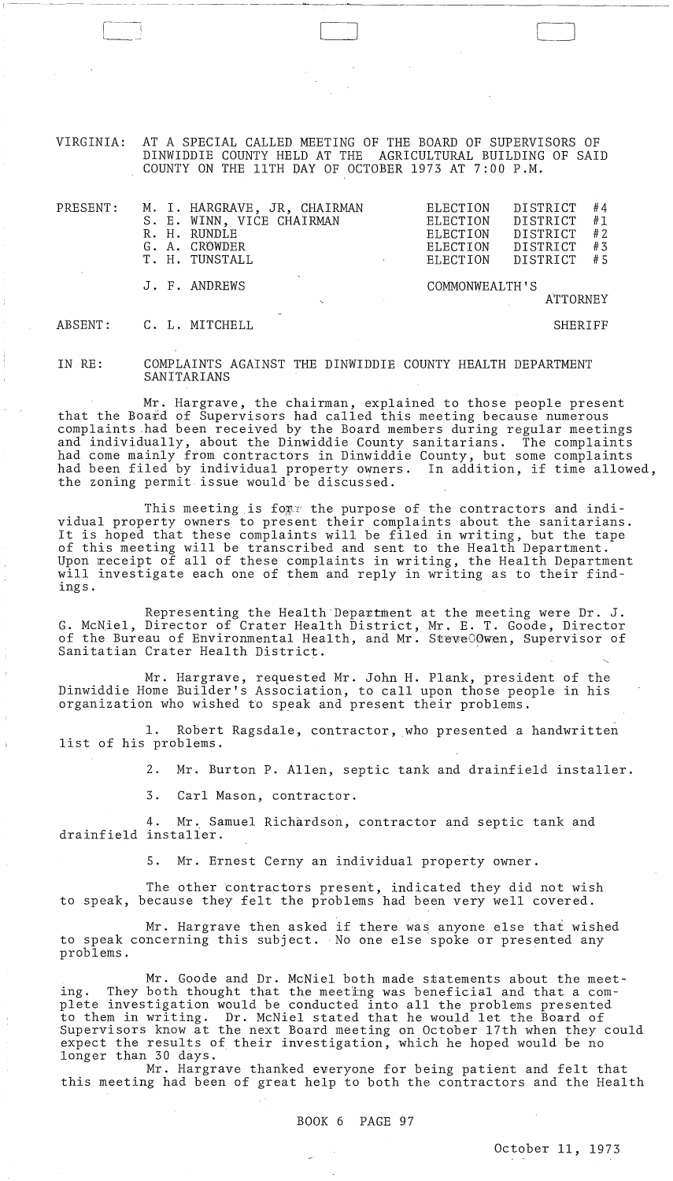VIRGINIA: AT A SPECIAL CALLED MEETING OF THE BOARD OF SUPERVISORS OF DINWIDDIE COUNTY HELD AT THE AGRICULTURAL BUILDING OF SAID COUNTY ON THE 11TH DAY OF OCTOBER 1973 AT 7:00 P.M.

I~---- --.-

| PRESENT: | M. I. HARGRAVE, JR, CHAIRMAN<br>S. E. WINN, VICE CHAIRMAN<br>R. H. RUNDLE<br>G. A. CROWDER<br>T. H. TUNSTALL | #4<br>DISTRICT<br>ELECTION<br>#1<br>DISTRICT<br>ELECTION<br>#2<br>DISTRICT<br>ELECTION<br>#3<br>ELECTION<br>DISTRICT<br>#5<br>DISTRICT<br>ELECTION<br>$\mathbf{r}$ |
|----------|--------------------------------------------------------------------------------------------------------------|--------------------------------------------------------------------------------------------------------------------------------------------------------------------|
|          | J. F. ANDREWS                                                                                                | COMMONWEALTH'S<br>ATTORNEY                                                                                                                                         |
| ABSENT:  | C. L. MITCHELL                                                                                               | SHERIFF                                                                                                                                                            |

IN RE: COMPLAINTS AGAINST THE DINWIDDIE COUNTY HEALTH DEPARTMENT SANITARIANS

Mr. Hargrave, the chairman, explained to those people present that the Board of Supervisors had called this meeting because numerous complaints .had been received by the Board members during regular meetings and individually, about the Dinwiddie County sanitarians. The complaints had come mainly from contractors in Dinwiddie County, but some complaints had been filed by individual property owners. In addition, if time allowed, the zoning permit issue would be discussed.

This meeting is for the purpose of the contractors and individual property owners to present their complaints about the sanitarians. It is hoped that these complaints will be filed in writing, but the tape of this meeting will be transcribed and sent to the Health Department. Upon meceipt of all of these complaints in writing, the Health Department will investigate each one of them and reply in writing as to their findings.

Representing the Health Department at the meeting were Dr. J. G. McNiel, Director of Crater Health District, Mr. E. T. Goode, Director of the Bureau of Environmental Health, and Mr. SteveOOwen, Supervisor of Sanitatian Crater Health District. .

Mr. Hargrave, requested Mr. John H. Plank, president of the Dinwiddie Home Builder's Association, to call upon those people in his organization who wished to speak and present their problems.

1. Robert Ragsdale, contractor, who presented a handwritten list of his problems.

2. Mr. Burton P. Allen, septic tank and drainfield installer.

3. Carl Mason, contractor.

4. Mr. Samuel Richardson, contractor and septic tank and drainfield installer.

5. Mr. Ernest Cerny an individual property owner.

The other contractors present, indicated they did not wish to speak, because they felt the problems had been very well covered.

Mr. Hargrave then asked if there was anyone else that wished to speak concerning this subject. No one else spoke or presented any problems.

Mr. Goode and Dr. McNiel both made statements about the meeting. They both thought that the meeting was beneficial and that a complete investigation would be conducted into all the problems presented prece investigation would be conducted filed air the problems presented to them in writing. Dr. McNiel stated that he would let the Board of Supervisors know at the next Board meeting on October 17th when they could expect the results of their investigation, which he hoped would be no longer than 30 days.

Mr. Hargrave thanked everyone for being patient and felt that this meeting had been of great help to both the contractors and the Health

BOOK 6 PAGE 97